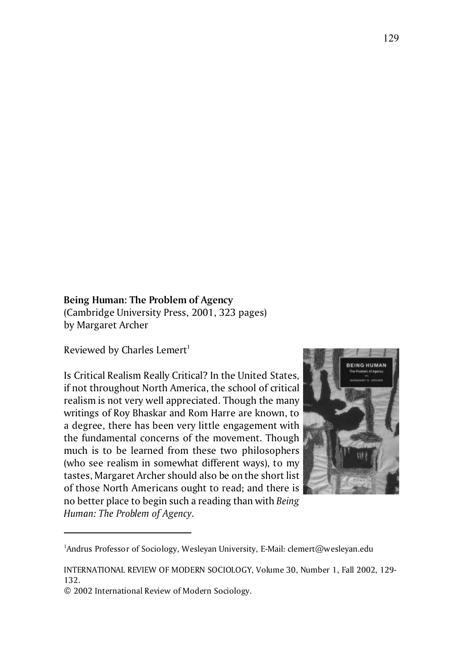## **Being Human: The Problem of Agency**

(Cambridge University Press, 2001, 323 pages) by Margaret Archer

Reviewed by Charles Lemert<sup>1</sup>

Is Critical Realism Really Critical? In the United States, if not throughout North America, the school of critical realism is not very well appreciated. Though the many writings of Roy Bhaskar and Rom Harre are known, to a degree, there has been very little engagement with the fundamental concerns of the movement. Though much is to be learned from these two philosophers (who see realism in somewhat different ways), to my tastes, Margaret Archer should also be on the short list of those North Americans ought to read; and there is no better place to begin such a reading than with *Being Human: The Problem of Agency*.



<sup>&</sup>lt;sup>1</sup>Andrus Professor of Sociology, Wesleyan University, E-Mail: clemert@wesleyan.edu

INTERNATIONAL REVIEW OF MODERN SOCIOLOGY, Volume 30, Number 1, Fall 2002, 129- 132.

<sup>© 2002</sup> International Review of Modern Sociology.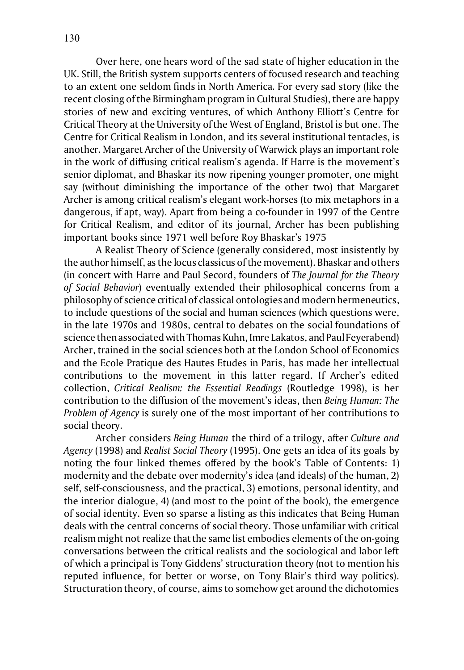Over here, one hears word of the sad state of higher education in the UK. Still, the British system supports centers of focused research and teaching to an extent one seldom finds in North America. For every sad story (like the recent closing of the Birmingham program in Cultural Studies), there are happy stories of new and exciting ventures, of which Anthony Elliott's Centre for Critical Theory at the University of the West of England, Bristol is but one. The Centre for Critical Realism in London, and its several institutional tentacles, is another. Margaret Archer of the University of Warwick plays an important role in the work of diffusing critical realism's agenda. If Harre is the movement's senior diplomat, and Bhaskar its now ripening younger promoter, one might say (without diminishing the importance of the other two) that Margaret Archer is among critical realism's elegant work-horses (to mix metaphors in a dangerous, if apt, way). Apart from being a co-founder in 1997 of the Centre for Critical Realism, and editor of its journal, Archer has been publishing important books since 1971 well before Roy Bhaskar's 1975

A Realist Theory of Science (generally considered, most insistently by the author himself, as the locus classicus of the movement). Bhaskar and others (in concert with Harre and Paul Secord, founders of *The Journal for the Theory of Social Behavior*) eventually extended their philosophical concerns from a philosophy of science critical of classical ontologies and modern hermeneutics, to include questions of the social and human sciences (which questions were, in the late 1970s and 1980s, central to debates on the social foundations of science then associated with Thomas Kuhn, Imre Lakatos, and Paul Feyerabend) Archer, trained in the social sciences both at the London School of Economics and the Ecole Pratique des Hautes Etudes in Paris, has made her intellectual contributions to the movement in this latter regard. If Archer's edited collection, *Critical Realism: the Essential Readings* (Routledge 1998), is her contribution to the diffusion of the movement's ideas, then *Being Human: The Problem of Agency* is surely one of the most important of her contributions to social theory.

Archer considers *Being Human* the third of a trilogy, after *Culture and Agency* (1998) and *Realist Social Theory* (1995). One gets an idea of its goals by noting the four linked themes offered by the book's Table of Contents: 1) modernity and the debate over modernity's idea (and ideals) of the human, 2) self, self-consciousness, and the practical, 3) emotions, personal identity, and the interior dialogue, 4) (and most to the point of the book), the emergence of social identity. Even so sparse a listing as this indicates that Being Human deals with the central concerns of social theory. Those unfamiliar with critical realism might not realize that the same list embodies elements of the on-going conversations between the critical realists and the sociological and labor left of which a principal is Tony Giddens' structuration theory (not to mention his reputed influence, for better or worse, on Tony Blair's third way politics). Structuration theory, of course, aims to somehow get around the dichotomies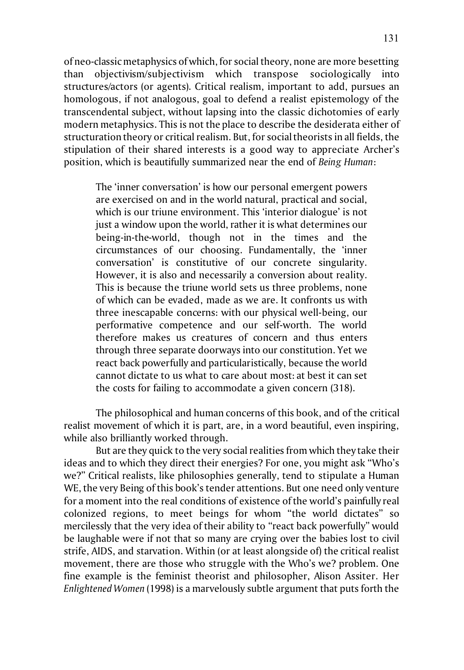of neo-classic metaphysics of which, for social theory, none are more besetting than objectivism/subjectivism which transpose sociologically into structures/actors (or agents). Critical realism, important to add, pursues an homologous, if not analogous, goal to defend a realist epistemology of the transcendental subject, without lapsing into the classic dichotomies of early modern metaphysics. This is not the place to describe the desiderata either of structuration theory or critical realism. But, for social theorists in all fields, the stipulation of their shared interests is a good way to appreciate Archer's position, which is beautifully summarized near the end of *Being Human*:

The 'inner conversation' is how our personal emergent powers are exercised on and in the world natural, practical and social, which is our triune environment. This 'interior dialogue' is not just a window upon the world, rather it is what determines our being-in-the-world, though not in the times and the circumstances of our choosing. Fundamentally, the 'inner conversation' is constitutive of our concrete singularity. However, it is also and necessarily a conversion about reality. This is because the triune world sets us three problems, none of which can be evaded, made as we are. It confronts us with three inescapable concerns: with our physical well-being, our performative competence and our self-worth. The world therefore makes us creatures of concern and thus enters through three separate doorways into our constitution. Yet we react back powerfully and particularistically, because the world cannot dictate to us what to care about most: at best it can set the costs for failing to accommodate a given concern (318).

The philosophical and human concerns of this book, and of the critical realist movement of which it is part, are, in a word beautiful, even inspiring, while also brilliantly worked through.

But are they quick to the very social realities from which they take their ideas and to which they direct their energies? For one, you might ask "Who's we?" Critical realists, like philosophies generally, tend to stipulate a Human WE, the very Being of this book's tender attentions. But one need only venture for a moment into the real conditions of existence of the world's painfully real colonized regions, to meet beings for whom "the world dictates" so mercilessly that the very idea of their ability to "react back powerfully" would be laughable were if not that so many are crying over the babies lost to civil strife, AIDS, and starvation. Within (or at least alongside of) the critical realist movement, there are those who struggle with the Who's we? problem. One fine example is the feminist theorist and philosopher, Alison Assiter. Her *Enlightened Women* (1998) is a marvelously subtle argument that puts forth the